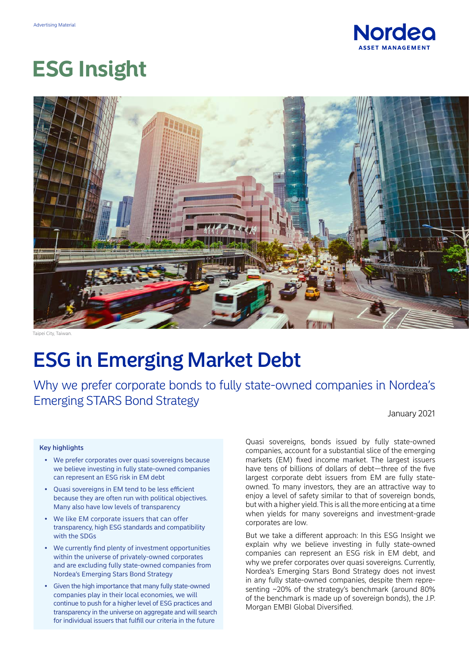

# **ESG Insight**



Taipei City, Taiwar.

## ESG in Emerging Market Debt

Why we prefer corporate bonds to fully state-owned companies in Nordea's Emerging STARS Bond Strategy

January 2021

#### Key highlights

- We prefer corporates over quasi sovereigns because we believe investing in fully state-owned companies can represent an ESG risk in EM debt
- Quasi sovereigns in EM tend to be less efficient because they are often run with political objectives. Many also have low levels of transparency
- We like EM corporate issuers that can offer transparency, high ESG standards and compatibility with the SDGs
- We currently find plenty of investment opportunities within the universe of privately-owned corporates and are excluding fully state-owned companies from Nordea's Emerging Stars Bond Strategy
- Given the high importance that many fully state-owned companies play in their local economies, we will continue to push for a higher level of ESG practices and transparency in the universe on aggregate and will search for individual issuers that fulfill our criteria in the future

Quasi sovereigns, bonds issued by fully state-owned companies, account for a substantial slice of the emerging markets (EM) fixed income market. The largest issuers have tens of billions of dollars of debt—three of the five largest corporate debt issuers from EM are fully stateowned. To many investors, they are an attractive way to enjoy a level of safety similar to that of sovereign bonds, but with a higher yield. This is all the more enticing at a time when yields for many sovereigns and investment-grade corporates are low.

But we take a different approach: In this ESG Insight we explain why we believe investing in fully state-owned companies can represent an ESG risk in EM debt, and why we prefer corporates over quasi sovereigns. Currently, Nordea's Emerging Stars Bond Strategy does not invest in any fully state-owned companies, despite them representing ~20% of the strategy's benchmark (around 80% of the benchmark is made up of sovereign bonds), the J.P. Morgan EMBI Global Diversified.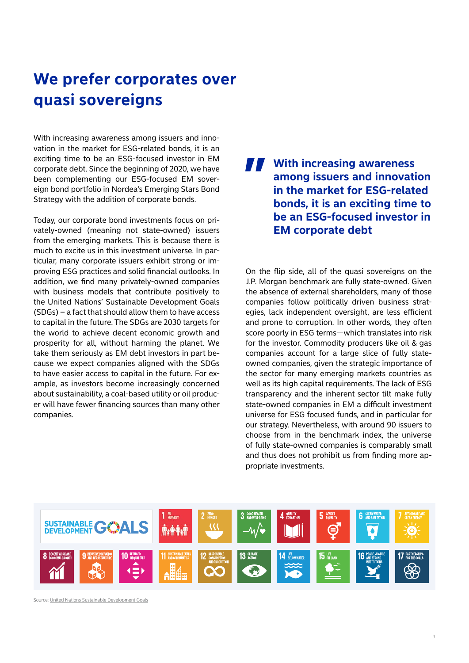## **We prefer corporates over quasi sovereigns**

With increasing awareness among issuers and innovation in the market for ESG-related bonds, it is an exciting time to be an ESG-focused investor in EM corporate debt. Since the beginning of 2020, we have been complementing our ESG-focused EM sovereign bond portfolio in Nordea's Emerging Stars Bond Strategy with the addition of corporate bonds.

Today, our corporate bond investments focus on privately-owned (meaning not state-owned) issuers from the emerging markets. This is because there is much to excite us in this investment universe. In particular, many corporate issuers exhibit strong or improving ESG practices and solid financial outlooks. In addition, we find many privately-owned companies with business models that contribute positively to the United Nations' Sustainable Development Goals (SDGs) – a fact that should allow them to have access to capital in the future. The SDGs are 2030 targets for the world to achieve decent economic growth and prosperity for all, without harming the planet. We take them seriously as EM debt investors in part because we expect companies aligned with the SDGs to have easier access to capital in the future. For example, as investors become increasingly concerned about sustainability, a coal-based utility or oil producer will have fewer financing sources than many other companies.

#### **With increasing awareness among issuers and innovation in the market for ESG-related bonds, it is an exciting time to be an ESG-focused investor in EM corporate debt "**

On the flip side, all of the quasi sovereigns on the J.P. Morgan benchmark are fully state-owned. Given the absence of external shareholders, many of those companies follow politically driven business strategies, lack independent oversight, are less efficient and prone to corruption. In other words, they often score poorly in ESG terms—which translates into risk for the investor. Commodity producers like oil & gas companies account for a large slice of fully stateowned companies, given the strategic importance of the sector for many emerging markets countries as well as its high capital requirements. The lack of ESG transparency and the inherent sector tilt make fully state-owned companies in EM a difficult investment universe for ESG focused funds, and in particular for our strategy. Nevertheless, with around 90 issuers to choose from in the benchmark index, the universe of fully state-owned companies is comparably small and thus does not prohibit us from finding more appropriate investments.



Source: [United Nations Sustainable Development Goals](http://un.org/development/desa/en/news/sustainable/sustainable-development-goals.html)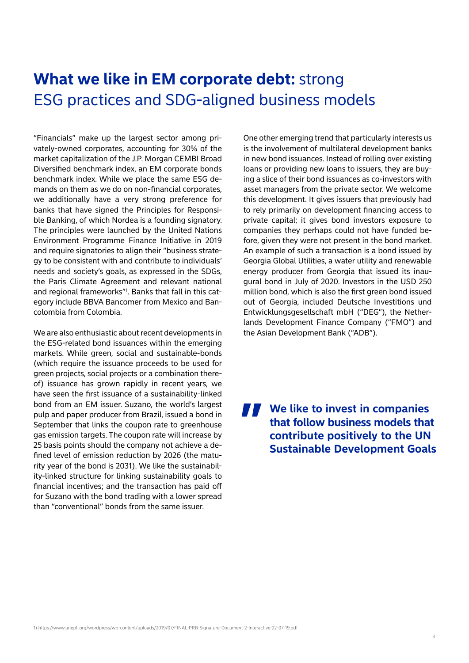#### **What we like in EM corporate debt:** strong ESG practices and SDG-aligned business models

"Financials" make up the largest sector among privately-owned corporates, accounting for 30% of the market capitalization of the J.P. Morgan CEMBI Broad Diversified benchmark index, an EM corporate bonds benchmark index. While we place the same ESG demands on them as we do on non-financial corporates, we additionally have a very strong preference for banks that have signed the Principles for Responsible Banking, of which Nordea is a founding signatory. The principles were launched by the United Nations Environment Programme Finance Initiative in 2019 and require signatories to align their "business strategy to be consistent with and contribute to individuals' needs and society's goals, as expressed in the SDGs, the Paris Climate Agreement and relevant national and regional frameworks"1 . Banks that fall in this category include BBVA Bancomer from Mexico and Bancolombia from Colombia.

We are also enthusiastic about recent developments in the ESG-related bond issuances within the emerging markets. While green, social and sustainable-bonds (which require the issuance proceeds to be used for green projects, social projects or a combination thereof) issuance has grown rapidly in recent years, we have seen the first issuance of a sustainability-linked bond from an EM issuer. Suzano, the world's largest pulp and paper producer from Brazil, issued a bond in September that links the coupon rate to greenhouse gas emission targets. The coupon rate will increase by 25 basis points should the company not achieve a defined level of emission reduction by 2026 (the maturity year of the bond is 2031). We like the sustainability-linked structure for linking sustainability goals to financial incentives; and the transaction has paid off for Suzano with the bond trading with a lower spread than "conventional" bonds from the same issuer.

One other emerging trend that particularly interests us is the involvement of multilateral development banks in new bond issuances. Instead of rolling over existing loans or providing new loans to issuers, they are buying a slice of their bond issuances as co-investors with asset managers from the private sector. We welcome this development. It gives issuers that previously had to rely primarily on development financing access to private capital; it gives bond investors exposure to companies they perhaps could not have funded before, given they were not present in the bond market. An example of such a transaction is a bond issued by Georgia Global Utilities, a water utility and renewable energy producer from Georgia that issued its inaugural bond in July of 2020. Investors in the USD 250 million bond, which is also the first green bond issued out of Georgia, included Deutsche Investitions und Entwicklungsgesellschaft mbH ("DEG"), the Netherlands Development Finance Company ("FMO") and the Asian Development Bank ("ADB").

**We like to invest in companies "that follow business models that contribute positively to the UN Sustainable Development Goals**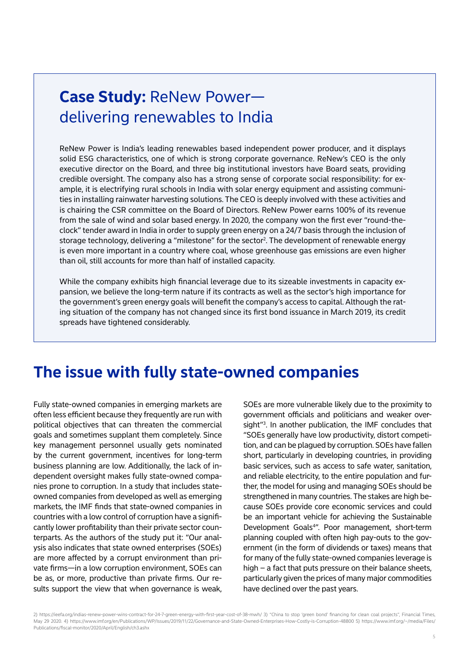#### **Case Study:** ReNew Power delivering renewables to India

ReNew Power is India's leading renewables based independent power producer, and it displays solid ESG characteristics, one of which is strong corporate governance. ReNew's CEO is the only executive director on the Board, and three big institutional investors have Board seats, providing credible oversight. The company also has a strong sense of corporate social responsibility: for example, it is electrifying rural schools in India with solar energy equipment and assisting communities in installing rainwater harvesting solutions. The CEO is deeply involved with these activities and is chairing the CSR committee on the Board of Directors. ReNew Power earns 100% of its revenue from the sale of wind and solar based energy. In 2020, the company won the first ever "round-theclock" tender award in India in order to supply green energy on a 24/7 basis through the inclusion of storage technology, delivering a "milestone" for the sector<sup>2</sup>. The development of renewable energy is even more important in a country where coal, whose greenhouse gas emissions are even higher than oil, still accounts for more than half of installed capacity.

While the company exhibits high financial leverage due to its sizeable investments in capacity expansion, we believe the long-term nature if its contracts as well as the sector's high importance for the government's green energy goals will benefit the company's access to capital. Although the rating situation of the company has not changed since its first bond issuance in March 2019, its credit spreads have tightened considerably.

#### **The issue with fully state-owned companies**

Fully state-owned companies in emerging markets are often less efficient because they frequently are run with political objectives that can threaten the commercial goals and sometimes supplant them completely. Since key management personnel usually gets nominated by the current government, incentives for long-term business planning are low. Additionally, the lack of independent oversight makes fully state-owned companies prone to corruption. In a study that includes stateowned companies from developed as well as emerging markets, the IMF finds that state-owned companies in countries with a low control of corruption have a significantly lower profitability than their private sector counterparts. As the authors of the study put it: "Our analysis also indicates that state owned enterprises (SOEs) are more affected by a corrupt environment than private firms—in a low corruption environment, SOEs can be as, or more, productive than private firms. Our results support the view that when governance is weak,

SOEs are more vulnerable likely due to the proximity to government officials and politicians and weaker oversight"3 . In another publication, the IMF concludes that "SOEs generally have low productivity, distort competition, and can be plagued by corruption. SOEs have fallen short, particularly in developing countries, in providing basic services, such as access to safe water, sanitation, and reliable electricity, to the entire population and further, the model for using and managing SOEs should be strengthened in many countries. The stakes are high because SOEs provide core economic services and could be an important vehicle for achieving the Sustainable Development Goals4". Poor management, short-term planning coupled with often high pay-outs to the government (in the form of dividends or taxes) means that for many of the fully state-owned companies leverage is high – a fact that puts pressure on their balance sheets, particularly given the prices of many major commodities have declined over the past years.

2) https://ieefa.org/indias-renew-power-wins-contract-for-24-7-green-energy-with-first-year-cost-of-38-mwh/ 3) "China to stop 'green bond' financing for clean coal projects", Financial Times, May 29 2020. 4) https://www.imf.org/en/Publications/WP/Issues/2019/11/22/Governance-and-State-Owned-Enterprises-How-Costly-is-Corruption-48800 5) https://www.imf.org/~/media/Files/ Publications/fiscal-monitor/2020/April/English/ch3.ashx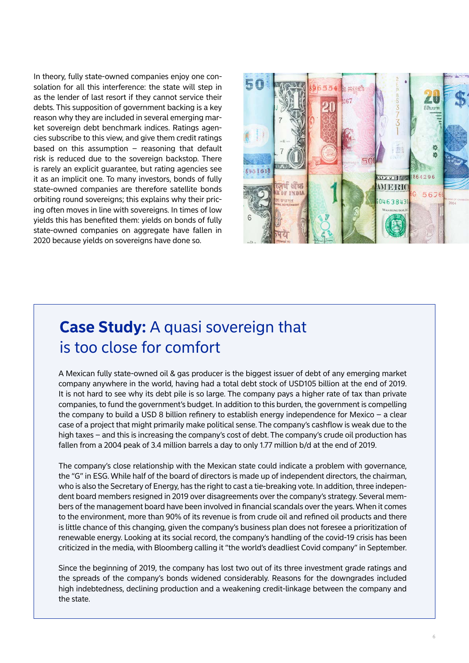In theory, fully state-owned companies enjoy one consolation for all this interference: the state will step in as the lender of last resort if they cannot service their debts. This supposition of government backing is a key reason why they are included in several emerging market sovereign debt benchmark indices. Ratings agencies subscribe to this view, and give them credit ratings based on this assumption  $-$  reasoning that default risk is reduced due to the sovereign backstop. There is rarely an explicit guarantee, but rating agencies see it as an implicit one. To many investors, bonds of fully state-owned companies are therefore satellite bonds orbiting round sovereigns; this explains why their pricing often moves in line with sovereigns. In times of low yields this has benefited them: yields on bonds of fully state-owned companies on aggregate have fallen in 2020 because yields on sovereigns have done so.



### **Case Study:** A quasi sovereign that is too close for comfort

A Mexican fully state-owned oil & gas producer is the biggest issuer of debt of any emerging market company anywhere in the world, having had a total debt stock of USD105 billion at the end of 2019. It is not hard to see why its debt pile is so large. The company pays a higher rate of tax than private companies, to fund the government's budget. In addition to this burden, the government is compelling the company to build a USD 8 billion refinery to establish energy independence for Mexico – a clear case of a project that might primarily make political sense. The company's cashflow is weak due to the high taxes – and this is increasing the company's cost of debt. The company's crude oil production has fallen from a 2004 peak of 3.4 million barrels a day to only 1.77 million b/d at the end of 2019.

The company's close relationship with the Mexican state could indicate a problem with governance, the "G" in ESG. While half of the board of directors is made up of independent directors, the chairman, who is also the Secretary of Energy, has the right to cast a tie-breaking vote. In addition, three independent board members resigned in 2019 over disagreements over the company's strategy. Several members of the management board have been involved in financial scandals over the years. When it comes to the environment, more than 90% of its revenue is from crude oil and refined oil products and there is little chance of this changing, given the company's business plan does not foresee a prioritization of renewable energy. Looking at its social record, the company's handling of the covid-19 crisis has been criticized in the media, with Bloomberg calling it "the world's deadliest Covid company" in September.

Since the beginning of 2019, the company has lost two out of its three investment grade ratings and the spreads of the company's bonds widened considerably. Reasons for the downgrades included high indebtedness, declining production and a weakening credit-linkage between the company and the state.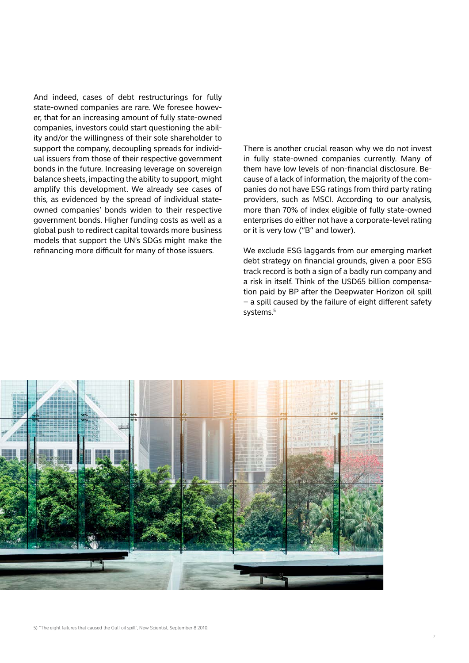And indeed, cases of debt restructurings for fully state-owned companies are rare. We foresee however, that for an increasing amount of fully state-owned companies, investors could start questioning the ability and/or the willingness of their sole shareholder to support the company, decoupling spreads for individual issuers from those of their respective government bonds in the future. Increasing leverage on sovereign balance sheets, impacting the ability to support, might amplify this development. We already see cases of this, as evidenced by the spread of individual stateowned companies' bonds widen to their respective government bonds. Higher funding costs as well as a global push to redirect capital towards more business models that support the UN's SDGs might make the refinancing more difficult for many of those issuers.

There is another crucial reason why we do not invest in fully state-owned companies currently. Many of them have low levels of non-financial disclosure. Because of a lack of information, the majority of the companies do not have ESG ratings from third party rating providers, such as MSCI. According to our analysis, more than 70% of index eligible of fully state-owned enterprises do either not have a corporate-level rating or it is very low ("B" and lower).

We exclude ESG laggards from our emerging market debt strategy on financial grounds, given a poor ESG track record is both a sign of a badly run company and a risk in itself. Think of the USD65 billion compensation paid by BP after the Deepwater Horizon oil spill – a spill caused by the failure of eight different safety systems.<sup>5</sup>

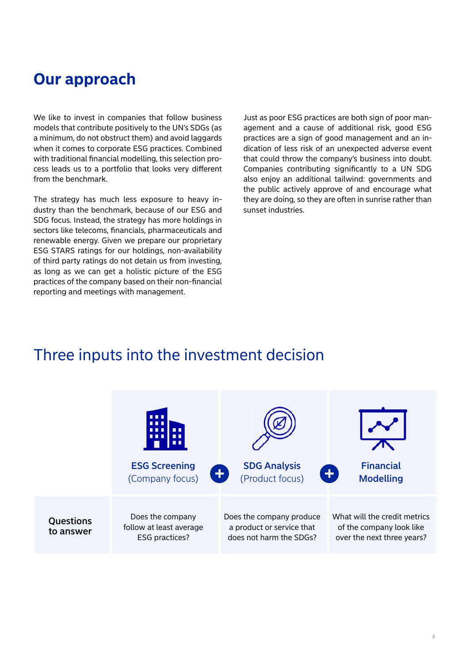#### **Our approach**

We like to invest in companies that follow business models that contribute positively to the UN's SDGs (as a minimum, do not obstruct them) and avoid laggards when it comes to corporate ESG practices. Combined with traditional financial modelling, this selection process leads us to a portfolio that looks very different from the benchmark.

The strategy has much less exposure to heavy industry than the benchmark, because of our ESG and SDG focus. Instead, the strategy has more holdings in sectors like telecoms, financials, pharmaceuticals and renewable energy. Given we prepare our proprietary ESG STARS ratings for our holdings, non-availability of third party ratings do not detain us from investing, as long as we can get a holistic picture of the ESG practices of the company based on their non-financial reporting and meetings with management.

Just as poor ESG practices are both sign of poor management and a cause of additional risk, good ESG practices are a sign of good management and an indication of less risk of an unexpected adverse event that could throw the company's business into doubt. Companies contributing significantly to a UN SDG also enjoy an additional tailwind: governments and the public actively approve of and encourage what they are doing, so they are often in sunrise rather than sunset industries.

#### Three inputs into the investment decision

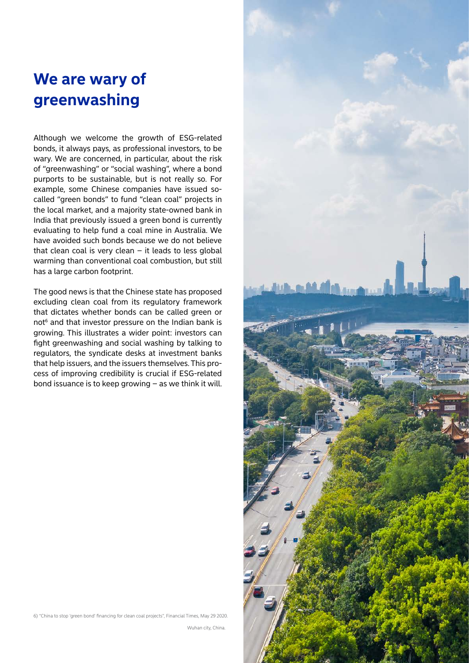### **We are wary of greenwashing**

Although we welcome the growth of ESG-related bonds, it always pays, as professional investors, to be wary. We are concerned, in particular, about the risk of "greenwashing" or "social washing", where a bond purports to be sustainable, but is not really so. For example, some Chinese companies have issued socalled "green bonds" to fund "clean coal" projects in the local market, and a majority state-owned bank in India that previously issued a green bond is currently evaluating to help fund a coal mine in Australia. We have avoided such bonds because we do not believe that clean coal is very clean  $-$  it leads to less global warming than conventional coal combustion, but still has a large carbon footprint.

The good news is that the Chinese state has proposed excluding clean coal from its regulatory framework that dictates whether bonds can be called green or not<sup>6</sup> and that investor pressure on the Indian bank is growing. This illustrates a wider point: investors can fight greenwashing and social washing by talking to regulators, the syndicate desks at investment banks that help issuers, and the issuers themselves. This process of improving credibility is crucial if ESG-related bond issuance is to keep growing – as we think it will.

6) "China to stop 'green bond' financing for clean coal projects", Financial Times, May 29 2020.

Wuhan city, China.